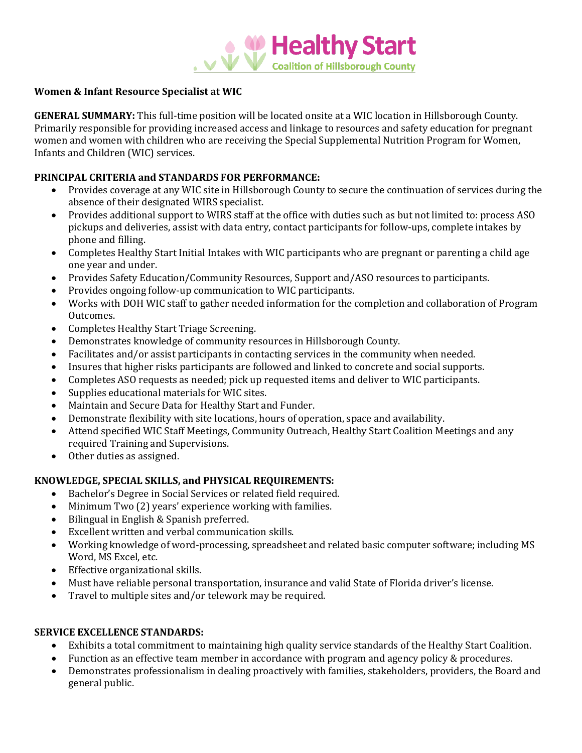

## **Women & Infant Resource Specialist at WIC**

**GENERAL SUMMARY:** This full-time position will be located onsite at a WIC location in Hillsborough County. Primarily responsible for providing increased access and linkage to resources and safety education for pregnant women and women with children who are receiving the Special Supplemental Nutrition Program for Women, Infants and Children (WIC) services.

### **PRINCIPAL CRITERIA and STANDARDS FOR PERFORMANCE:**

- Provides coverage at any WIC site in Hillsborough County to secure the continuation of services during the absence of their designated WIRS specialist.
- Provides additional support to WIRS staff at the office with duties such as but not limited to: process ASO pickups and deliveries, assist with data entry, contact participants for follow-ups, complete intakes by phone and filling.
- Completes Healthy Start Initial Intakes with WIC participants who are pregnant or parenting a child age one year and under.
- Provides Safety Education/Community Resources, Support and/ASO resources to participants.
- Provides ongoing follow-up communication to WIC participants.
- Works with DOH WIC staff to gather needed information for the completion and collaboration of Program Outcomes.
- Completes Healthy Start Triage Screening.
- Demonstrates knowledge of community resources in Hillsborough County.
- Facilitates and/or assist participants in contacting services in the community when needed.
- Insures that higher risks participants are followed and linked to concrete and social supports.
- Completes ASO requests as needed; pick up requested items and deliver to WIC participants.
- Supplies educational materials for WIC sites.
- Maintain and Secure Data for Healthy Start and Funder.
- Demonstrate flexibility with site locations, hours of operation, space and availability.
- Attend specified WIC Staff Meetings, Community Outreach, Healthy Start Coalition Meetings and any required Training and Supervisions.
- Other duties as assigned.

### **KNOWLEDGE, SPECIAL SKILLS, and PHYSICAL REQUIREMENTS:**

- Bachelor's Degree in Social Services or related field required.
- Minimum Two (2) years' experience working with families.
- Bilingual in English & Spanish preferred.
- Excellent written and verbal communication skills.
- Working knowledge of word-processing, spreadsheet and related basic computer software; including MS Word, MS Excel, etc.
- Effective organizational skills.
- Must have reliable personal transportation, insurance and valid State of Florida driver's license.
- Travel to multiple sites and/or telework may be required.

### **SERVICE EXCELLENCE STANDARDS:**

- Exhibits a total commitment to maintaining high quality service standards of the Healthy Start Coalition.
- Function as an effective team member in accordance with program and agency policy & procedures.
- Demonstrates professionalism in dealing proactively with families, stakeholders, providers, the Board and general public.